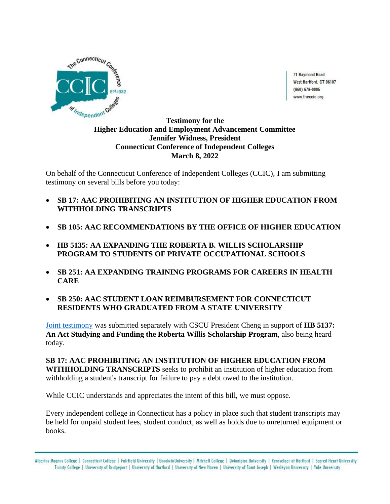

71 Raymond Road West Hartford, CT 06107  $(860) 678 - 0005$ www.theccic.org

## **Testimony for the Higher Education and Employment Advancement Committee Jennifer Widness, President Connecticut Conference of Independent Colleges March 8, 2022**

On behalf of the Connecticut Conference of Independent Colleges (CCIC), I am submitting testimony on several bills before you today:

- **SB 17: AAC PROHIBITING AN INSTITUTION OF HIGHER EDUCATION FROM WITHHOLDING TRANSCRIPTS**
- **SB 105: AAC RECOMMENDATIONS BY THE OFFICE OF HIGHER EDUCATION**
- **HB 5135: AA EXPANDING THE ROBERTA B. WILLIS SCHOLARSHIP PROGRAM TO STUDENTS OF PRIVATE OCCUPATIONAL SCHOOLS**
- **SB 251: AA EXPANDING TRAINING PROGRAMS FOR CAREERS IN HEALTH CARE**
- **SB 250: AAC STUDENT LOAN REIMBURSEMENT FOR CONNECTICUT RESIDENTS WHO GRADUATED FROM A STATE UNIVERSITY**

[Joint testimony](https://www.cga.ct.gov/2022/HEDdata/Tmy/2022HB-05137-R000308-Cheng,%20Terrence,%20President-CSCU-TMY.PDF) was submitted separately with CSCU President Cheng in support of **HB 5137: An Act Studying and Funding the Roberta Willis Scholarship Program**, also being heard today.

**SB 17: AAC PROHIBITING AN INSTITUTION OF HIGHER EDUCATION FROM WITHHOLDING TRANSCRIPTS** seeks to prohibit an institution of higher education from withholding a student's transcript for failure to pay a debt owed to the institution.

While CCIC understands and appreciates the intent of this bill, we must oppose.

Every independent college in Connecticut has a policy in place such that student transcripts may be held for unpaid student fees, student conduct, as well as holds due to unreturned equipment or books.

Albertus Magnus College | Connecticut College | Fairfield University | Goodwin University | Mitchell College | Quinnipiac University | Rensselaer at Hartford | Sacred Heart University Trinity College | University of Bridgeport | University of Hartford | University of New Haven | University of Saint Joseph | Wesleyan University | Yale University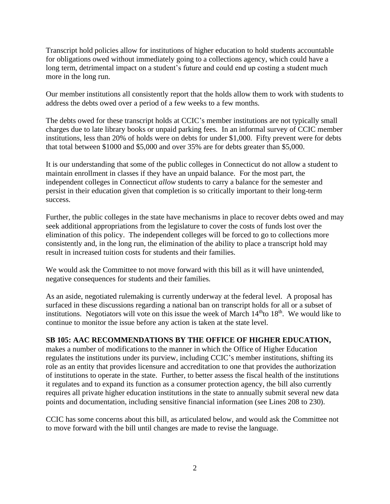Transcript hold policies allow for institutions of higher education to hold students accountable for obligations owed without immediately going to a collections agency, which could have a long term, detrimental impact on a student's future and could end up costing a student much more in the long run.

Our member institutions all consistently report that the holds allow them to work with students to address the debts owed over a period of a few weeks to a few months.

The debts owed for these transcript holds at CCIC's member institutions are not typically small charges due to late library books or unpaid parking fees. In an informal survey of CCIC member institutions, less than 20% of holds were on debts for under \$1,000. Fifty prevent were for debts that total between \$1000 and \$5,000 and over 35% are for debts greater than \$5,000.

It is our understanding that some of the public colleges in Connecticut do not allow a student to maintain enrollment in classes if they have an unpaid balance. For the most part, the independent colleges in Connecticut *allow* students to carry a balance for the semester and persist in their education given that completion is so critically important to their long-term success.

Further, the public colleges in the state have mechanisms in place to recover debts owed and may seek additional appropriations from the legislature to cover the costs of funds lost over the elimination of this policy. The independent colleges will be forced to go to collections more consistently and, in the long run, the elimination of the ability to place a transcript hold may result in increased tuition costs for students and their families.

We would ask the Committee to not move forward with this bill as it will have unintended, negative consequences for students and their families.

As an aside, negotiated rulemaking is currently underway at the federal level. A proposal has surfaced in these discussions regarding a national ban on transcript holds for all or a subset of institutions. Negotiators will vote on this issue the week of March  $14<sup>th</sup>$ to  $18<sup>th</sup>$ . We would like to continue to monitor the issue before any action is taken at the state level.

## **SB 105: AAC RECOMMENDATIONS BY THE OFFICE OF HIGHER EDUCATION,**

makes a number of modifications to the manner in which the Office of Higher Education regulates the institutions under its purview, including CCIC's member institutions, shifting its role as an entity that provides licensure and accreditation to one that provides the authorization of institutions to operate in the state. Further, to better assess the fiscal health of the institutions it regulates and to expand its function as a consumer protection agency, the bill also currently requires all private higher education institutions in the state to annually submit several new data points and documentation, including sensitive financial information (see Lines 208 to 230).

CCIC has some concerns about this bill, as articulated below, and would ask the Committee not to move forward with the bill until changes are made to revise the language.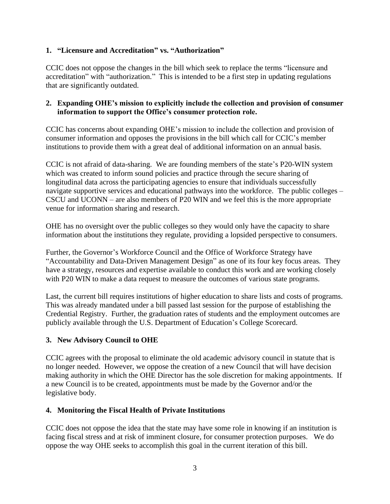## **1. "Licensure and Accreditation" vs. "Authorization"**

CCIC does not oppose the changes in the bill which seek to replace the terms "licensure and accreditation" with "authorization." This is intended to be a first step in updating regulations that are significantly outdated.

#### **2. Expanding OHE's mission to explicitly include the collection and provision of consumer information to support the Office's consumer protection role.**

CCIC has concerns about expanding OHE's mission to include the collection and provision of consumer information and opposes the provisions in the bill which call for CCIC's member institutions to provide them with a great deal of additional information on an annual basis.

CCIC is not afraid of data-sharing. We are founding members of the state's P20-WIN system which was created to inform sound policies and practice through the secure sharing of longitudinal data across the participating agencies to ensure that individuals successfully navigate supportive services and educational pathways into the workforce. The public colleges – CSCU and UCONN – are also members of P20 WIN and we feel this is the more appropriate venue for information sharing and research.

OHE has no oversight over the public colleges so they would only have the capacity to share information about the institutions they regulate, providing a lopsided perspective to consumers.

Further, the Governor's Workforce Council and the Office of Workforce Strategy have "Accountability and Data-Driven Management Design" as one of its four key focus areas. They have a strategy, resources and expertise available to conduct this work and are working closely with P20 WIN to make a data request to measure the outcomes of various state programs.

Last, the current bill requires institutions of higher education to share lists and costs of programs. This was already mandated under a bill passed last session for the purpose of establishing the Credential Registry. Further, the graduation rates of students and the employment outcomes are publicly available through the U.S. Department of Education's College Scorecard.

## **3. New Advisory Council to OHE**

CCIC agrees with the proposal to eliminate the old academic advisory council in statute that is no longer needed. However, we oppose the creation of a new Council that will have decision making authority in which the OHE Director has the sole discretion for making appointments. If a new Council is to be created, appointments must be made by the Governor and/or the legislative body.

## **4. Monitoring the Fiscal Health of Private Institutions**

CCIC does not oppose the idea that the state may have some role in knowing if an institution is facing fiscal stress and at risk of imminent closure, for consumer protection purposes. We do oppose the way OHE seeks to accomplish this goal in the current iteration of this bill.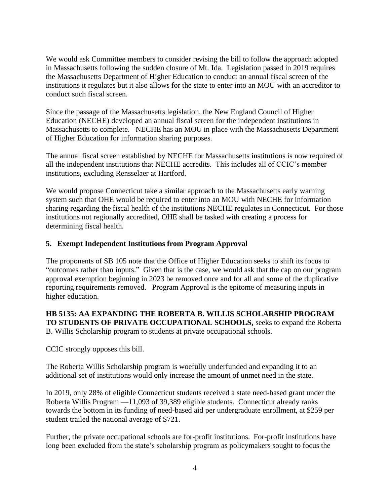We would ask Committee members to consider revising the bill to follow the approach adopted in Massachusetts following the sudden closure of Mt. Ida. Legislation passed in 2019 requires the Massachusetts Department of Higher Education to conduct an annual fiscal screen of the institutions it regulates but it also allows for the state to enter into an MOU with an accreditor to conduct such fiscal screen.

Since the passage of the Massachusetts legislation, the New England Council of Higher Education (NECHE) developed an annual fiscal screen for the independent institutions in Massachusetts to complete. NECHE has an MOU in place with the Massachusetts Department of Higher Education for information sharing purposes.

The annual fiscal screen established by NECHE for Massachusetts institutions is now required of all the independent institutions that NECHE accredits. This includes all of CCIC's member institutions, excluding Rensselaer at Hartford.

We would propose Connecticut take a similar approach to the Massachusetts early warning system such that OHE would be required to enter into an MOU with NECHE for information sharing regarding the fiscal health of the institutions NECHE regulates in Connecticut. For those institutions not regionally accredited, OHE shall be tasked with creating a process for determining fiscal health.

## **5. Exempt Independent Institutions from Program Approval**

The proponents of SB 105 note that the Office of Higher Education seeks to shift its focus to "outcomes rather than inputs." Given that is the case, we would ask that the cap on our program approval exemption beginning in 2023 be removed once and for all and some of the duplicative reporting requirements removed. Program Approval is the epitome of measuring inputs in higher education.

#### **HB 5135: AA EXPANDING THE ROBERTA B. WILLIS SCHOLARSHIP PROGRAM TO STUDENTS OF PRIVATE OCCUPATIONAL SCHOOLS,** seeks to expand the Roberta B. Willis Scholarship program to students at private occupational schools.

CCIC strongly opposes this bill.

The Roberta Willis Scholarship program is woefully underfunded and expanding it to an additional set of institutions would only increase the amount of unmet need in the state.

In 2019, only 28% of eligible Connecticut students received a state need-based grant under the Roberta Willis Program —11,093 of 39,389 eligible students. Connecticut already ranks towards the bottom in its funding of need-based aid per undergraduate enrollment, at \$259 per student trailed the national average of \$721.

Further, the private occupational schools are for-profit institutions. For-profit institutions have long been excluded from the state's scholarship program as policymakers sought to focus the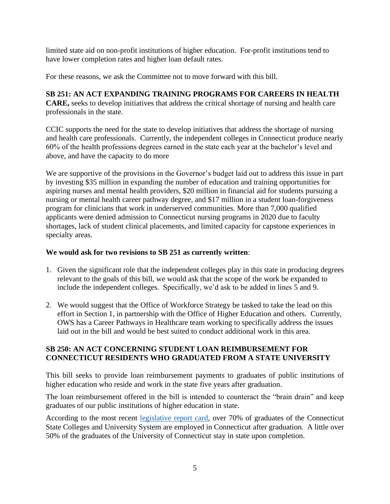limited state aid on non-profit institutions of higher education. For-profit institutions tend to have lower completion rates and higher loan default rates.

For these reasons, we ask the Committee not to move forward with this bill.

# **SB 251: AN ACT EXPANDING TRAINING PROGRAMS FOR CAREERS IN HEALTH**

**CARE,** seeks to develop initiatives that address the critical shortage of nursing and health care professionals in the state.

CCIC supports the need for the state to develop initiatives that address the shortage of nursing and health care professionals. Currently, the independent colleges in Connecticut produce nearly 60% of the health professions degrees earned in the state each year at the bachelor's level and above, and have the capacity to do more

We are supportive of the provisions in the Governor's budget laid out to address this issue in part by investing \$35 million in expanding the number of education and training opportunities for aspiring nurses and mental health providers, \$20 million in financial aid for students pursuing a nursing or mental health career pathway degree, and \$17 million in a student loan-forgiveness program for clinicians that work in underserved communities. More than 7,000 qualified applicants were denied admission to Connecticut nursing programs in 2020 due to faculty shortages, lack of student clinical placements, and limited capacity for capstone experiences in specialty areas.

## **We would ask for two revisions to SB 251 as currently written**:

- 1. Given the significant role that the independent colleges play in this state in producing degrees relevant to the goals of this bill, we would ask that the scope of the work be expanded to include the independent colleges. Specifically, we'd ask to be added in lines 5 and 9.
- 2. We would suggest that the Office of Workforce Strategy be tasked to take the lead on this effort in Section 1, in partnership with the Office of Higher Education and others. Currently, OWS has a Career Pathways in Healthcare team working to specifically address the issues laid out in the bill and would be best suited to conduct additional work in this area.

#### **SB 250: AN ACT CONCERNING STUDENT LOAN REIMBURSEMENT FOR CONNECTICUT RESIDENTS WHO GRADUATED FROM A STATE UNIVERSITY**

This bill seeks to provide loan reimbursement payments to graduates of public institutions of higher education who reside and work in the state five years after graduation.

The loan reimbursement offered in the bill is intended to counteract the "brain drain" and keep graduates of our public institutions of higher education in state.

According to the most recent [legislative report card,](https://www1.ctdol.state.ct.us/LRC/LRCProgComp_PY2016.aspx) over 70% of graduates of the Connecticut State Colleges and University System are employed in Connecticut after graduation. A little over 50% of the graduates of the University of Connecticut stay in state upon completion.